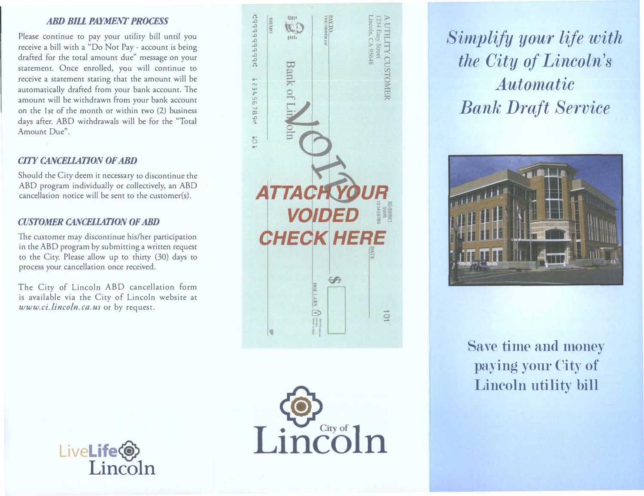#### **ABD BILL PAYMENT PROCESS**

Please continue to pay your utility bill until you receive a bill with a "Do Not Pay - account is being drafted for the total amount due" message on your statement. Once enrolled, you will continue to receive a statement stating that the amount will be automatically drafted from your bank account. The amount will be withdrawn from your bank account on the 1st of the month or within two (2) business days after. ABD withdrawals will be for the "Total Amount Due".

## **CITY CANCELLATION OF ARD**

Should the City deem it necessary to discontinue the ABD program individually or collectively, an ABD cancellation notice will be sent to the customer(s).

# **CUSTOMER CANCELLATION OF ARD**

The customer may discontinue his/her participation in the ABD program by submitting a written request to the City. Please allow up to thirty (30) days to process your cancellation once received.

The City of Lincoln ABD cancellation form is available via the City of Lincoln website at www.ci.lincoln.ca.us or by request.







Simplify your life with the City of Lincoln's Automatic **Bank Draft Service** 



Save time and money paying your City of Lincoln utility bill